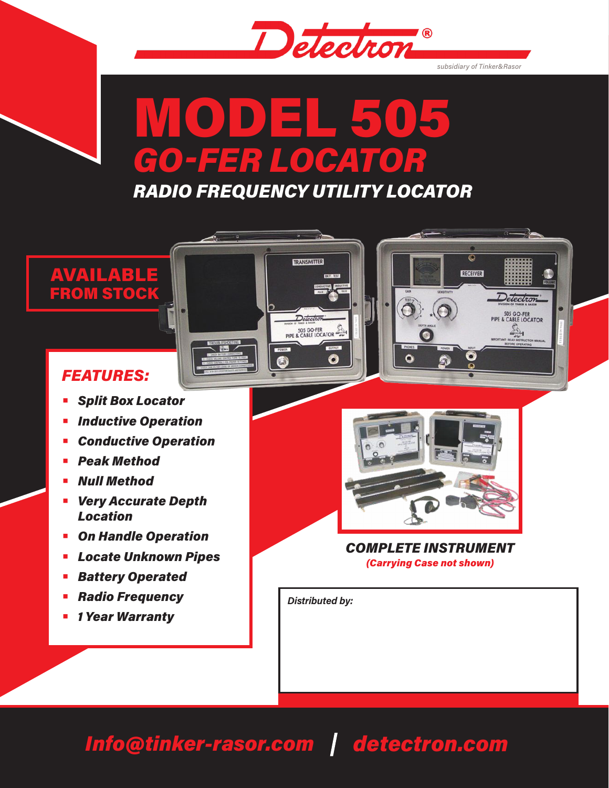

*subsidiary of Tinker&Rasor*

 $\overline{\circ}$ 

RECEIVER

Detectron

505 GO-FER<br>PIPE & CABLE LOCATOR

壑

# MODEL 505 *GO-FER LOCATOR*

*RADIO FREQUENCY UTILITY LOCATOR*

TRANSMITTER

Detection 505 GO-FER



## *FEATURES:*

- **•** *Split Box Locator*
- **•** *Inductive Operation*
- **•** *Conductive Operation*
- **•** *Peak Method*
- **•** *Null Method*
- **•** *Very Accurate Depth Location*
- **•** *On Handle Operation*
- **•** *Locate Unknown Pipes*
- **•** *Battery Operated*
- **•** *Radio Frequency*
- **•** *1 Year Warranty*



 $\odot$   $\odot$ 

 $\bullet$ 

*COMPLETE INSTRUMENT (Carrying Case not shown)*

*Distributed by:*

## *Info@tinker-rasor.com detectron.com*